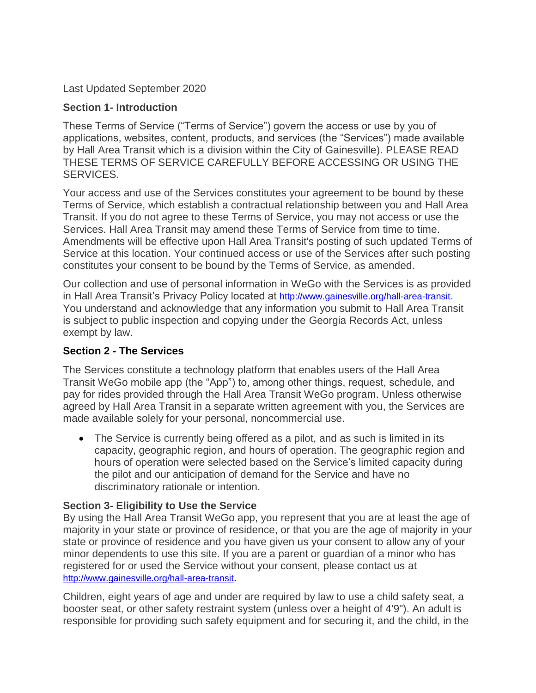Last Updated September 2020

### **Section 1- Introduction**

These Terms of Service ("Terms of Service") govern the access or use by you of applications, websites, content, products, and services (the "Services") made available by Hall Area Transit which is a division within the City of Gainesville). PLEASE READ THESE TERMS OF SERVICE CAREFULLY BEFORE ACCESSING OR USING THE SERVICES.

Your access and use of the Services constitutes your agreement to be bound by these Terms of Service, which establish a contractual relationship between you and Hall Area Transit. If you do not agree to these Terms of Service, you may not access or use the Services. Hall Area Transit may amend these Terms of Service from time to time. Amendments will be effective upon Hall Area Transit's posting of such updated Terms of Service at this location. Your continued access or use of the Services after such posting constitutes your consent to be bound by the Terms of Service, as amended.

Our collection and use of personal information in WeGo with the Services is as provided in Hall Area Transit's Privacy Policy located at <http://www.gainesville.org/hall-area-transit>. You understand and acknowledge that any information you submit to Hall Area Transit is subject to public inspection and copying under the Georgia Records Act, unless exempt by law.

## **Section 2 - The Services**

The Services constitute a technology platform that enables users of the Hall Area Transit WeGo mobile app (the "App") to, among other things, request, schedule, and pay for rides provided through the Hall Area Transit WeGo program. Unless otherwise agreed by Hall Area Transit in a separate written agreement with you, the Services are made available solely for your personal, noncommercial use.

• The Service is currently being offered as a pilot, and as such is limited in its capacity, geographic region, and hours of operation. The geographic region and hours of operation were selected based on the Service's limited capacity during the pilot and our anticipation of demand for the Service and have no discriminatory rationale or intention.

## **Section 3- Eligibility to Use the Service**

By using the Hall Area Transit WeGo app, you represent that you are at least the age of majority in your state or province of residence, or that you are the age of majority in your state or province of residence and you have given us your consent to allow any of your minor dependents to use this site. If you are a parent or guardian of a minor who has registered for or used the Service without your consent, please contact us at <http://www.gainesville.org/hall-area-transit>.

Children, eight years of age and under are required by law to use a child safety seat, a booster seat, or other safety restraint system (unless over a height of 4'9"). An adult is responsible for providing such safety equipment and for securing it, and the child, in the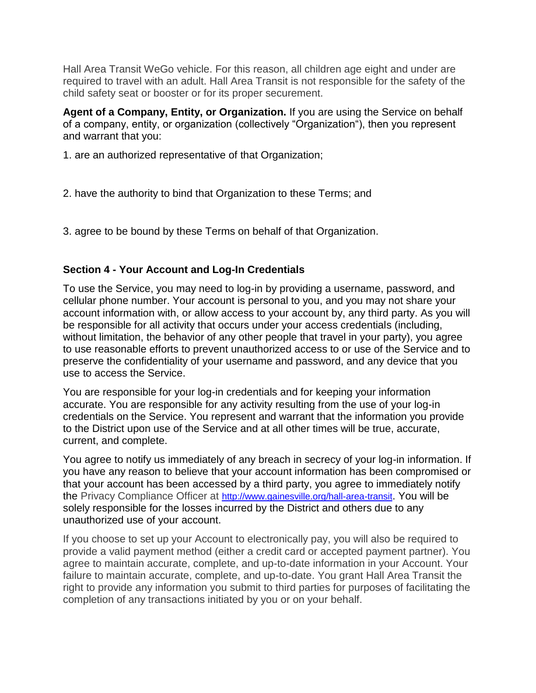Hall Area Transit WeGo vehicle. For this reason, all children age eight and under are required to travel with an adult. Hall Area Transit is not responsible for the safety of the child safety seat or booster or for its proper securement.

**Agent of a Company, Entity, or Organization.** If you are using the Service on behalf of a company, entity, or organization (collectively "Organization"), then you represent and warrant that you:

- 1. are an authorized representative of that Organization;
- 2. have the authority to bind that Organization to these Terms; and
- 3. agree to be bound by these Terms on behalf of that Organization.

## **Section 4 - Your Account and Log-In Credentials**

To use the Service, you may need to log-in by providing a username, password, and cellular phone number. Your account is personal to you, and you may not share your account information with, or allow access to your account by, any third party. As you will be responsible for all activity that occurs under your access credentials (including, without limitation, the behavior of any other people that travel in your party), you agree to use reasonable efforts to prevent unauthorized access to or use of the Service and to preserve the confidentiality of your username and password, and any device that you use to access the Service.

You are responsible for your log-in credentials and for keeping your information accurate. You are responsible for any activity resulting from the use of your log-in credentials on the Service. You represent and warrant that the information you provide to the District upon use of the Service and at all other times will be true, accurate, current, and complete.

You agree to notify us immediately of any breach in secrecy of your log-in information. If you have any reason to believe that your account information has been compromised or that your account has been accessed by a third party, you agree to immediately notify the Privacy Compliance Officer at <http://www.gainesville.org/hall-area-transit>. You will be solely responsible for the losses incurred by the District and others due to any unauthorized use of your account.

If you choose to set up your Account to electronically pay, you will also be required to provide a valid payment method (either a credit card or accepted payment partner). You agree to maintain accurate, complete, and up-to-date information in your Account. Your failure to maintain accurate, complete, and up-to-date. You grant Hall Area Transit the right to provide any information you submit to third parties for purposes of facilitating the completion of any transactions initiated by you or on your behalf.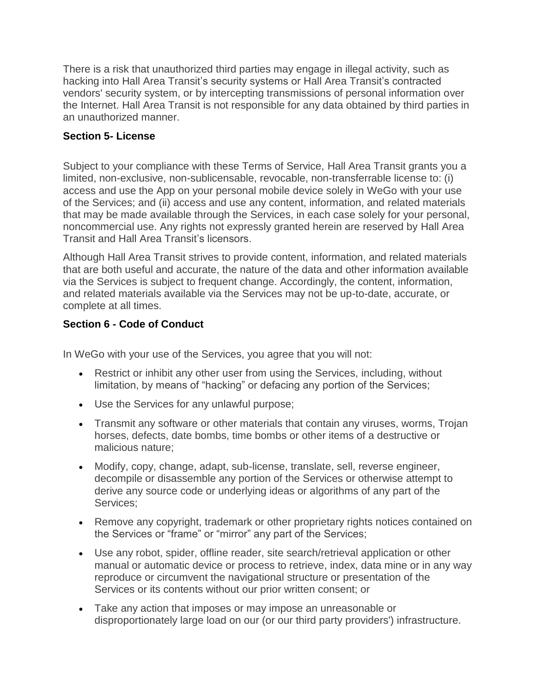There is a risk that unauthorized third parties may engage in illegal activity, such as hacking into Hall Area Transit's security systems or Hall Area Transit's contracted vendors' security system, or by intercepting transmissions of personal information over the Internet. Hall Area Transit is not responsible for any data obtained by third parties in an unauthorized manner.

# **Section 5- License**

Subject to your compliance with these Terms of Service, Hall Area Transit grants you a limited, non-exclusive, non-sublicensable, revocable, non-transferrable license to: (i) access and use the App on your personal mobile device solely in WeGo with your use of the Services; and (ii) access and use any content, information, and related materials that may be made available through the Services, in each case solely for your personal, noncommercial use. Any rights not expressly granted herein are reserved by Hall Area Transit and Hall Area Transit's licensors.

Although Hall Area Transit strives to provide content, information, and related materials that are both useful and accurate, the nature of the data and other information available via the Services is subject to frequent change. Accordingly, the content, information, and related materials available via the Services may not be up-to-date, accurate, or complete at all times.

# **Section 6 - Code of Conduct**

In WeGo with your use of the Services, you agree that you will not:

- Restrict or inhibit any other user from using the Services, including, without limitation, by means of "hacking" or defacing any portion of the Services;
- Use the Services for any unlawful purpose;
- Transmit any software or other materials that contain any viruses, worms, Trojan horses, defects, date bombs, time bombs or other items of a destructive or malicious nature;
- Modify, copy, change, adapt, sub-license, translate, sell, reverse engineer, decompile or disassemble any portion of the Services or otherwise attempt to derive any source code or underlying ideas or algorithms of any part of the Services;
- Remove any copyright, trademark or other proprietary rights notices contained on the Services or "frame" or "mirror" any part of the Services;
- Use any robot, spider, offline reader, site search/retrieval application or other manual or automatic device or process to retrieve, index, data mine or in any way reproduce or circumvent the navigational structure or presentation of the Services or its contents without our prior written consent; or
- Take any action that imposes or may impose an unreasonable or disproportionately large load on our (or our third party providers') infrastructure.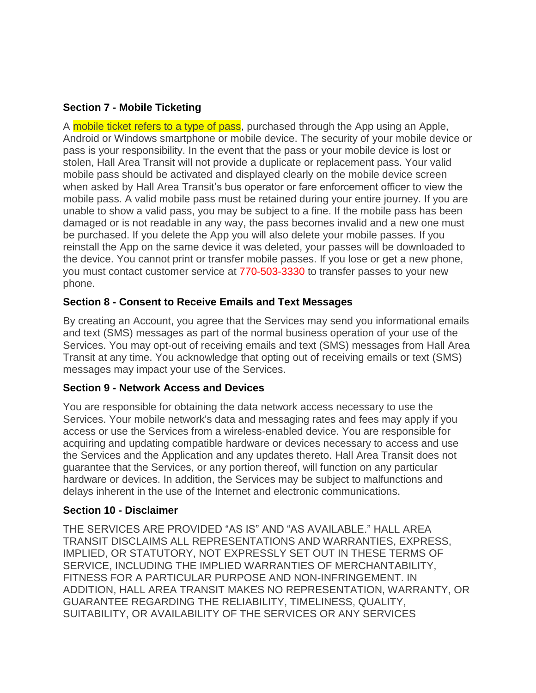## **Section 7 - Mobile Ticketing**

A mobile ticket refers to a type of pass, purchased through the App using an Apple, Android or Windows smartphone or mobile device. The security of your mobile device or pass is your responsibility. In the event that the pass or your mobile device is lost or stolen, Hall Area Transit will not provide a duplicate or replacement pass. Your valid mobile pass should be activated and displayed clearly on the mobile device screen when asked by Hall Area Transit's bus operator or fare enforcement officer to view the mobile pass. A valid mobile pass must be retained during your entire journey. If you are unable to show a valid pass, you may be subject to a fine. If the mobile pass has been damaged or is not readable in any way, the pass becomes invalid and a new one must be purchased. If you delete the App you will also delete your mobile passes. If you reinstall the App on the same device it was deleted, your passes will be downloaded to the device. You cannot print or transfer mobile passes. If you lose or get a new phone, you must contact customer service at 770-503-3330 to transfer passes to your new phone.

### **Section 8 - Consent to Receive Emails and Text Messages**

By creating an Account, you agree that the Services may send you informational emails and text (SMS) messages as part of the normal business operation of your use of the Services. You may opt-out of receiving emails and text (SMS) messages from Hall Area Transit at any time. You acknowledge that opting out of receiving emails or text (SMS) messages may impact your use of the Services.

#### **Section 9 - Network Access and Devices**

You are responsible for obtaining the data network access necessary to use the Services. Your mobile network's data and messaging rates and fees may apply if you access or use the Services from a wireless-enabled device. You are responsible for acquiring and updating compatible hardware or devices necessary to access and use the Services and the Application and any updates thereto. Hall Area Transit does not guarantee that the Services, or any portion thereof, will function on any particular hardware or devices. In addition, the Services may be subject to malfunctions and delays inherent in the use of the Internet and electronic communications.

#### **Section 10 - Disclaimer**

THE SERVICES ARE PROVIDED "AS IS" AND "AS AVAILABLE." HALL AREA TRANSIT DISCLAIMS ALL REPRESENTATIONS AND WARRANTIES, EXPRESS, IMPLIED, OR STATUTORY, NOT EXPRESSLY SET OUT IN THESE TERMS OF SERVICE, INCLUDING THE IMPLIED WARRANTIES OF MERCHANTABILITY, FITNESS FOR A PARTICULAR PURPOSE AND NON-INFRINGEMENT. IN ADDITION, HALL AREA TRANSIT MAKES NO REPRESENTATION, WARRANTY, OR GUARANTEE REGARDING THE RELIABILITY, TIMELINESS, QUALITY, SUITABILITY, OR AVAILABILITY OF THE SERVICES OR ANY SERVICES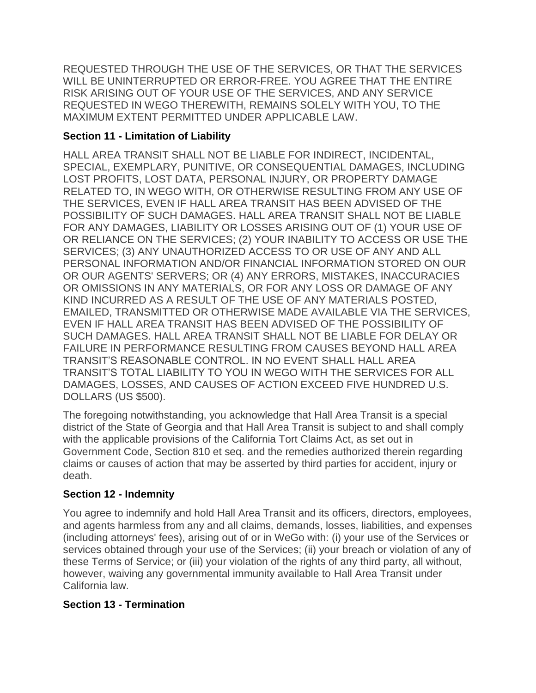REQUESTED THROUGH THE USE OF THE SERVICES, OR THAT THE SERVICES WILL BE UNINTERRUPTED OR ERROR-FREE. YOU AGREE THAT THE ENTIRE RISK ARISING OUT OF YOUR USE OF THE SERVICES, AND ANY SERVICE REQUESTED IN WEGO THEREWITH, REMAINS SOLELY WITH YOU, TO THE MAXIMUM EXTENT PERMITTED UNDER APPLICABLE LAW.

# **Section 11 - Limitation of Liability**

HALL AREA TRANSIT SHALL NOT BE LIABLE FOR INDIRECT, INCIDENTAL, SPECIAL, EXEMPLARY, PUNITIVE, OR CONSEQUENTIAL DAMAGES, INCLUDING LOST PROFITS, LOST DATA, PERSONAL INJURY, OR PROPERTY DAMAGE RELATED TO, IN WEGO WITH, OR OTHERWISE RESULTING FROM ANY USE OF THE SERVICES, EVEN IF HALL AREA TRANSIT HAS BEEN ADVISED OF THE POSSIBILITY OF SUCH DAMAGES. HALL AREA TRANSIT SHALL NOT BE LIABLE FOR ANY DAMAGES, LIABILITY OR LOSSES ARISING OUT OF (1) YOUR USE OF OR RELIANCE ON THE SERVICES; (2) YOUR INABILITY TO ACCESS OR USE THE SERVICES; (3) ANY UNAUTHORIZED ACCESS TO OR USE OF ANY AND ALL PERSONAL INFORMATION AND/OR FINANCIAL INFORMATION STORED ON OUR OR OUR AGENTS' SERVERS; OR (4) ANY ERRORS, MISTAKES, INACCURACIES OR OMISSIONS IN ANY MATERIALS, OR FOR ANY LOSS OR DAMAGE OF ANY KIND INCURRED AS A RESULT OF THE USE OF ANY MATERIALS POSTED, EMAILED, TRANSMITTED OR OTHERWISE MADE AVAILABLE VIA THE SERVICES, EVEN IF HALL AREA TRANSIT HAS BEEN ADVISED OF THE POSSIBILITY OF SUCH DAMAGES. HALL AREA TRANSIT SHALL NOT BE LIABLE FOR DELAY OR FAILURE IN PERFORMANCE RESULTING FROM CAUSES BEYOND HALL AREA TRANSIT'S REASONABLE CONTROL. IN NO EVENT SHALL HALL AREA TRANSIT'S TOTAL LIABILITY TO YOU IN WEGO WITH THE SERVICES FOR ALL DAMAGES, LOSSES, AND CAUSES OF ACTION EXCEED FIVE HUNDRED U.S. DOLLARS (US \$500).

The foregoing notwithstanding, you acknowledge that Hall Area Transit is a special district of the State of Georgia and that Hall Area Transit is subject to and shall comply with the applicable provisions of the California Tort Claims Act, as set out in Government Code, Section 810 et seq. and the remedies authorized therein regarding claims or causes of action that may be asserted by third parties for accident, injury or death.

# **Section 12 - Indemnity**

You agree to indemnify and hold Hall Area Transit and its officers, directors, employees, and agents harmless from any and all claims, demands, losses, liabilities, and expenses (including attorneys' fees), arising out of or in WeGo with: (i) your use of the Services or services obtained through your use of the Services; (ii) your breach or violation of any of these Terms of Service; or (iii) your violation of the rights of any third party, all without, however, waiving any governmental immunity available to Hall Area Transit under California law.

## **Section 13 - Termination**